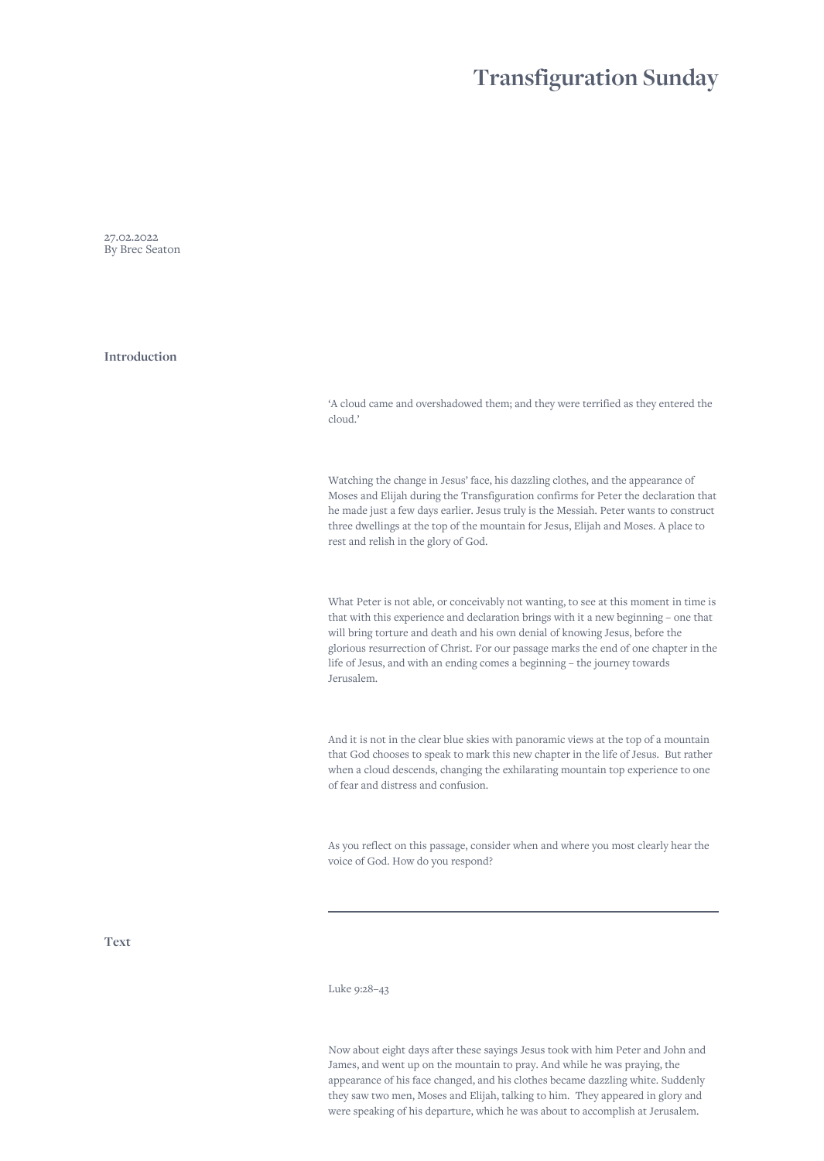# **Transfiguration Sunday**

27.02.2022 By Brec Seaton

**Introduction**

'A cloud came and overshadowed them; and they were terrified as they entered the cloud.'

Watching the change in Jesus' face, his dazzling clothes, and the appearance of Moses and Elijah during the Transfiguration confirms for Peter the declaration that he made just a few days earlier. Jesus truly is the Messiah. Peter wants to construct three dwellings at the top of the mountain for Jesus, Elijah and Moses. A place to rest and relish in the glory of God.

What Peter is not able, or conceivably not wanting, to see at this moment in time is that with this experience and declaration brings with it a new beginning – one that will bring torture and death and his own denial of knowing Jesus, before the glorious resurrection of Christ. For our passage marks the end of one chapter in the life of Jesus, and with an ending comes a beginning – the journey towards Jerusalem.

And it is not in the clear blue skies with panoramic views at the top of a mountain that God chooses to speak to mark this new chapter in the life of Jesus. But rather when a cloud descends, changing the exhilarating mountain top experience to one of fear and distress and confusion.

As you reflect on this passage, consider when and where you most clearly hear the voice of God. How do you respond?

**Text**

Luke 9:28–43

Now about eight days after these sayings Jesus took with him Peter and John and James, and went up on the mountain to pray. And while he was praying, the appearance of his face changed, and his clothes became dazzling white. Suddenly they saw two men, Moses and Elijah, talking to him. They appeared in glory and were speaking of his departure, which he was about to accomplish at Jerusalem.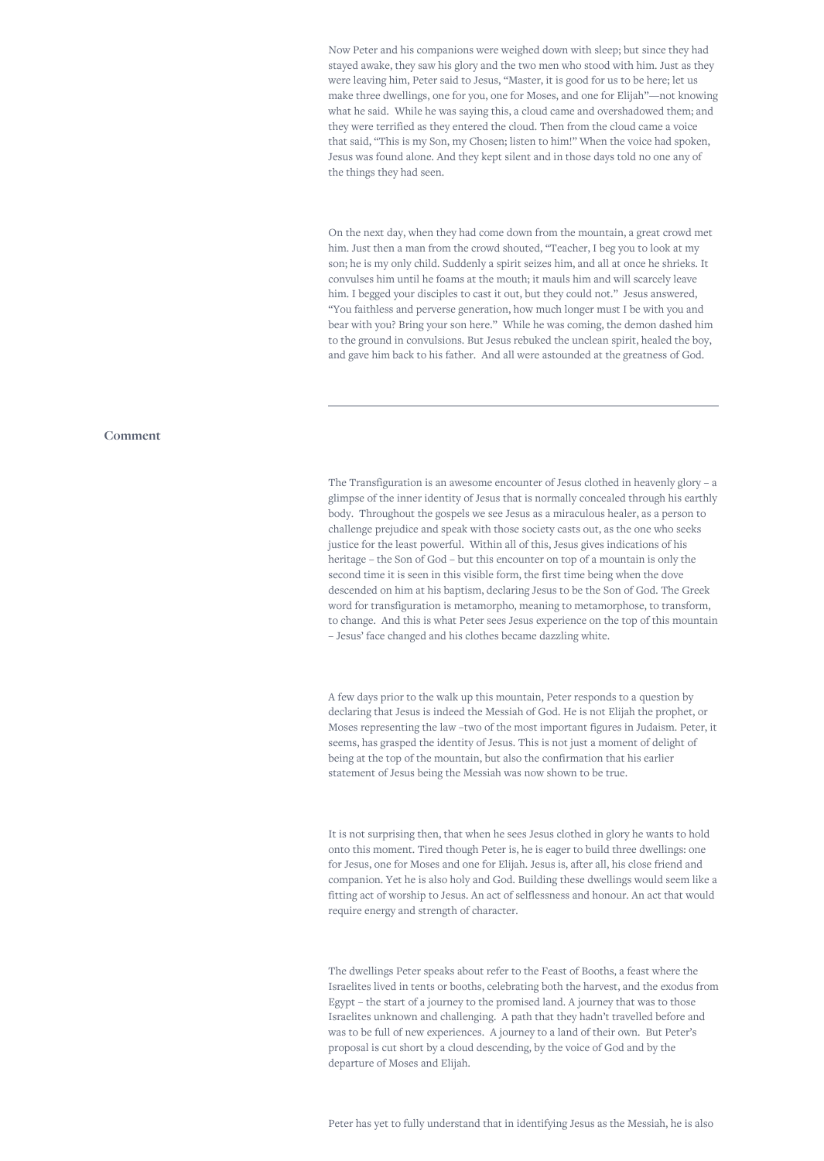Now Peter and his companions were weighed down with sleep; but since they had stayed awake, they saw his glory and the two men who stood with him. Just as they were leaving him, Peter said to Jesus, "Master, it is good for us to be here; let us make three dwellings, one for you, one for Moses, and one for Elijah"—not knowing what he said. While he was saying this, a cloud came and overshadowed them; and they were terrified as they entered the cloud. Then from the cloud came a voice that said, "This is my Son, my Chosen; listen to him!" When the voice had spoken, Jesus was found alone. And they kept silent and in those days told no one any of the things they had seen.

On the next day, when they had come down from the mountain, a great crowd met him. Just then a man from the crowd shouted, "Teacher, I beg you to look at my son; he is my only child. Suddenly a spirit seizes him, and all at once he shrieks. It convulses him until he foams at the mouth; it mauls him and will scarcely leave him. I begged your disciples to cast it out, but they could not." Jesus answered, "You faithless and perverse generation, how much longer must I be with you and bear with you? Bring your son here." While he was coming, the demon dashed him to the ground in convulsions. But Jesus rebuked the unclean spirit, healed the boy, and gave him back to his father. And all were astounded at the greatness of God.

### **Comment**

The Transfiguration is an awesome encounter of Jesus clothed in heavenly glory – a glimpse of the inner identity of Jesus that is normally concealed through his earthly body. Throughout the gospels we see Jesus as a miraculous healer, as a person to challenge prejudice and speak with those society casts out, as the one who seeks justice for the least powerful. Within all of this, Jesus gives indications of his heritage – the Son of God – but this encounter on top of a mountain is only the second time it is seen in this visible form, the first time being when the dove descended on him at his baptism, declaring Jesus to be the Son of God. The Greek word for transfiguration is metamorpho, meaning to metamorphose, to transform, to change. And this is what Peter sees Jesus experience on the top of this mountain – Jesus' face changed and his clothes became dazzling white.

A few days prior to the walk up this mountain, Peter responds to a question by declaring that Jesus is indeed the Messiah of God. He is not Elijah the prophet, or Moses representing the law –two of the most important figures in Judaism. Peter, it seems, has grasped the identity of Jesus. This is not just a moment of delight of being at the top of the mountain, but also the confirmation that his earlier statement of Jesus being the Messiah was now shown to be true.

It is not surprising then, that when he sees Jesus clothed in glory he wants to hold onto this moment. Tired though Peter is, he is eager to build three dwellings: one for Jesus, one for Moses and one for Elijah. Jesus is, after all, his close friend and companion. Yet he is also holy and God. Building these dwellings would seem like a fitting act of worship to Jesus. An act of selflessness and honour. An act that would require energy and strength of character.

The dwellings Peter speaks about refer to the Feast of Booths, a feast where the Israelites lived in tents or booths, celebrating both the harvest, and the exodus from Egypt – the start of a journey to the promised land. A journey that was to those Israelites unknown and challenging. A path that they hadn't travelled before and was to be full of new experiences. A journey to a land of their own. But Peter's proposal is cut short by a cloud descending, by the voice of God and by the departure of Moses and Elijah.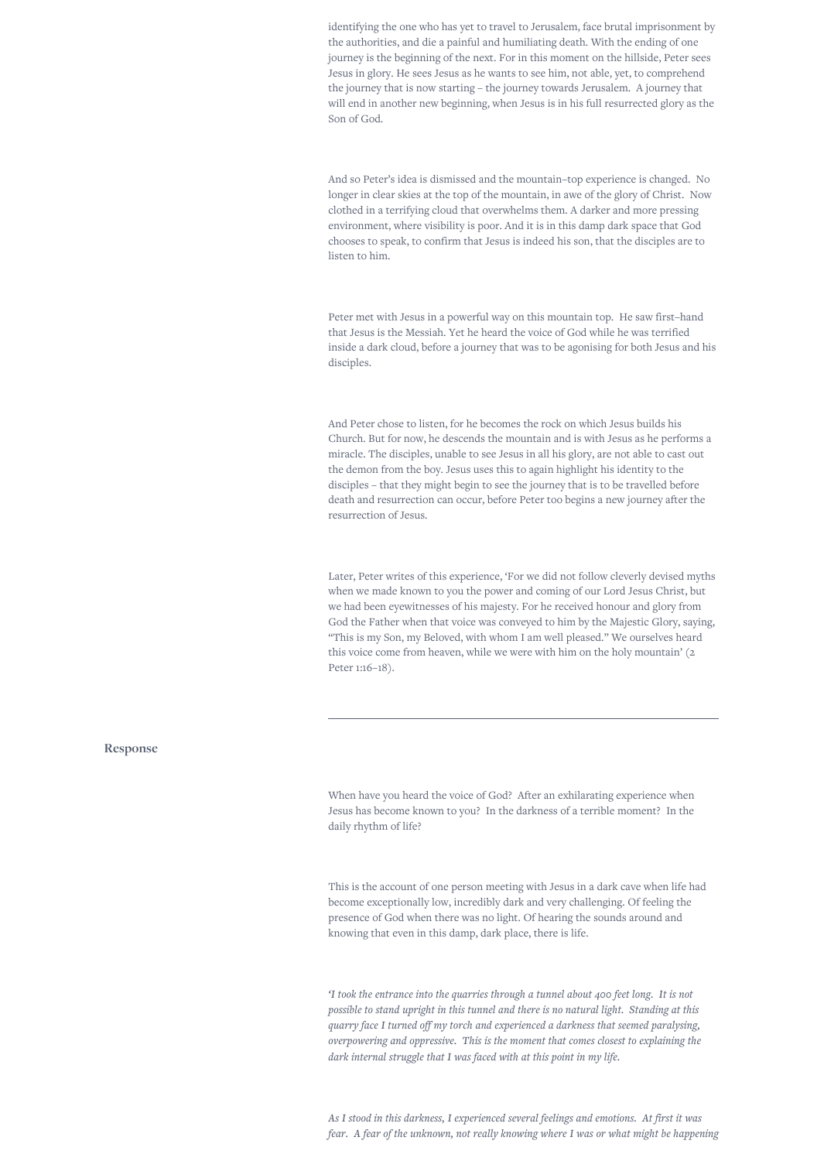identifying the one who has yet to travel to Jerusalem, face brutal imprisonment by the authorities, and die a painful and humiliating death. With the ending of one journey is the beginning of the next. For in this moment on the hillside, Peter sees Jesus in glory. He sees Jesus as he wants to see him, not able, yet, to comprehend the journey that is now starting – the journey towards Jerusalem. A journey that will end in another new beginning, when Jesus is in his full resurrected glory as the Son of God.

And so Peter's idea is dismissed and the mountain–top experience is changed. No longer in clear skies at the top of the mountain, in awe of the glory of Christ. Now clothed in a terrifying cloud that overwhelms them. A darker and more pressing environment, where visibility is poor. And it is in this damp dark space that God chooses to speak, to confirm that Jesus is indeed his son, that the disciples are to listen to him.

Peter met with Jesus in a powerful way on this mountain top. He saw first–hand that Jesus is the Messiah. Yet he heard the voice of God while he was terrified inside a dark cloud, before a journey that was to be agonising for both Jesus and his disciples.

And Peter chose to listen, for he becomes the rock on which Jesus builds his Church. But for now, he descends the mountain and is with Jesus as he performs a miracle. The disciples, unable to see Jesus in all his glory, are not able to cast out the demon from the boy. Jesus uses this to again highlight his identity to the disciples – that they might begin to see the journey that is to be travelled before death and resurrection can occur, before Peter too begins a new journey after the resurrection of Jesus.

Later, Peter writes of this experience, 'For we did not follow cleverly devised myths when we made known to you the power and coming of our Lord Jesus Christ, but we had been eyewitnesses of his majesty. For he received honour and glory from God the Father when that voice was conveyed to him by the Majestic Glory, saying, "This is my Son, my Beloved, with whom I am well pleased." We ourselves heard this voice come from heaven, while we were with him on the holy mountain' (2 Peter 1:16–18).

#### **Response**

When have you heard the voice of God? After an exhilarating experience when Jesus has become known to you? In the darkness of a terrible moment? In the daily rhythm of life?

This is the account of one person meeting with Jesus in a dark cave when life had become exceptionally low, incredibly dark and very challenging. Of feeling the presence of God when there was no light. Of hearing the sounds around and knowing that even in this damp, dark place, there is life.

*'I took the entrance into the quarries through a tunnel about 400 feet long. It is not possible to stand upright in this tunnel and there is no natural light. Standing at this quarry face I turned off my torch and experienced a darkness that seemed paralysing, overpowering and oppressive. This is the moment that comes closest to explaining the dark internal struggle that I was faced with at this point in my life.*

*As I stood in this darkness, I experienced several feelings and emotions. At first it was fear. A fear of the unknown, not really knowing where I was or what might be happening*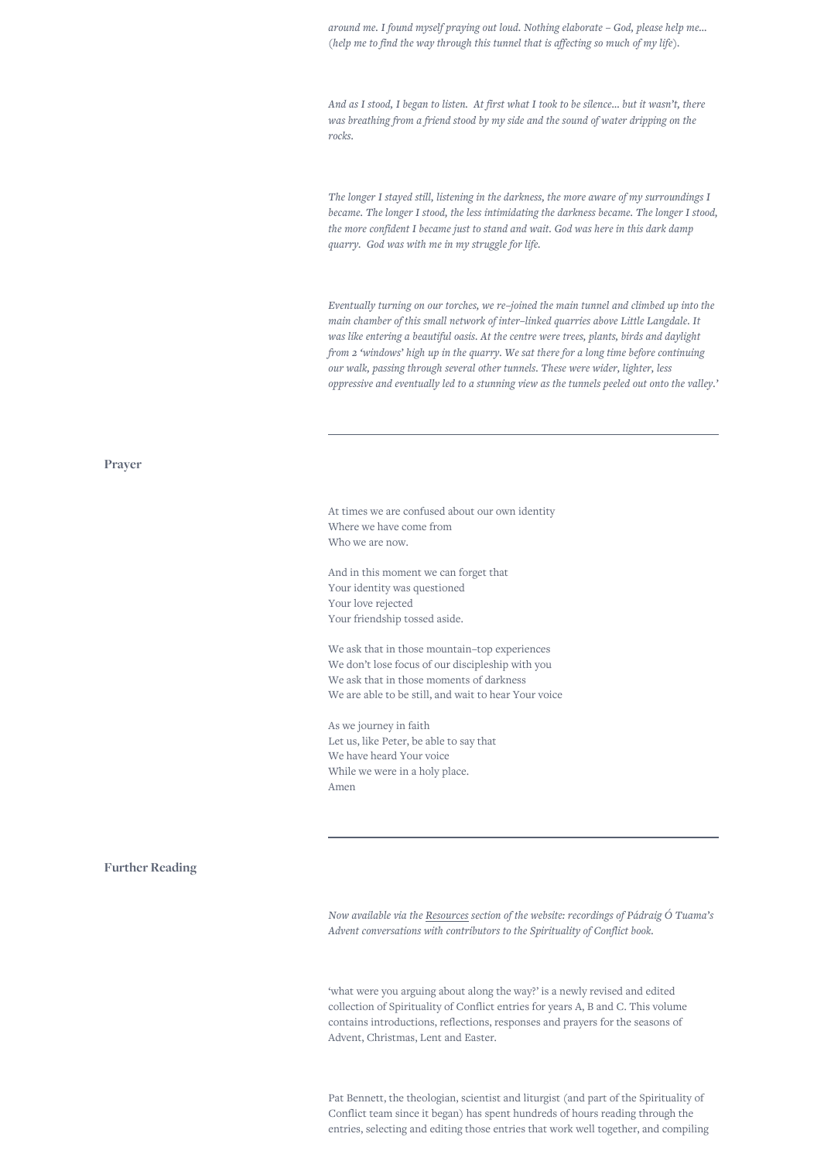*around me. I found myself praying out loud. Nothing elaborate – God, please help me… (help me to find the way through this tunnel that is affecting so much of my life).*

*And as I stood, I began to listen. At first what I took to be silence… but it wasn't, there was breathing from a friend stood by my side and the sound of water dripping on the rocks.*

*The longer I stayed still, listening in the darkness, the more aware of my surroundings I became. The longer I stood, the less intimidating the darkness became. The longer I stood, the more confident I became just to stand and wait. God was here in this dark damp quarry. God was with me in my struggle for life.*

*Eventually turning on our torches, we re–joined the main tunnel and climbed up into the main chamber of this small network of inter–linked quarries above Little Langdale. It was like entering a beautiful oasis. At the centre were trees, plants, birds and daylight from 2 'windows' high up in the quarry. We sat there for a long time before continuing our walk, passing through several other tunnels. These were wider, lighter, less oppressive and eventually led to a stunning view as the tunnels peeled out onto the valley.'*

## **Prayer**

At times we are confused about our own identity Where we have come from Who we are now.

And in this moment we can forget that Your identity was questioned Your love rejected Your friendship tossed aside.

We ask that in those mountain–top experiences We don't lose focus of our discipleship with you We ask that in those moments of darkness We are able to be still, and wait to hear Your voice

As we journey in faith Let us, like Peter, be able to say that We have heard Your voice While we were in a holy place. Amen

#### **Further Reading**

*Now available via the [Resources](https://www.spiritualityofconflict.com/articles) section of the website: recordings of Pádraig Ó Tuama's Advent conversations with contributors to the Spirituality of Conflict book.*

'what were you arguing about along the way?' is a newly revised and edited collection of Spirituality of Conflict entries for years A, B and C. This volume contains introductions, reflections, responses and prayers for the seasons of Advent, Christmas, Lent and Easter.

Pat Bennett, the theologian, scientist and liturgist (and part of the Spirituality of Conflict team since it began) has spent hundreds of hours reading through the entries, selecting and editing those entries that work well together, and compiling